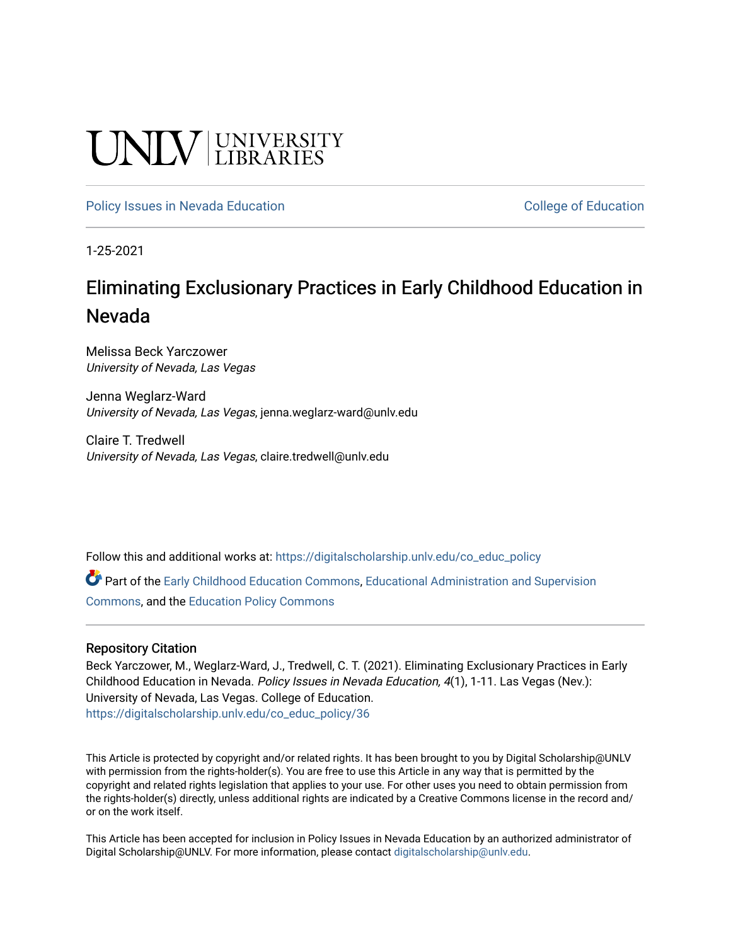# **CINITY** UNIVERSITY

[Policy Issues in Nevada Education](https://digitalscholarship.unlv.edu/co_educ_policy) **College of Education** College of Education

1-25-2021

# Eliminating Exclusionary Practices in Early Childhood Education in Nevada

Melissa Beck Yarczower University of Nevada, Las Vegas

Jenna Weglarz-Ward University of Nevada, Las Vegas, jenna.weglarz-ward@unlv.edu

Claire T. Tredwell University of Nevada, Las Vegas, claire.tredwell@unlv.edu

Follow this and additional works at: [https://digitalscholarship.unlv.edu/co\\_educ\\_policy](https://digitalscholarship.unlv.edu/co_educ_policy?utm_source=digitalscholarship.unlv.edu%2Fco_educ_policy%2F36&utm_medium=PDF&utm_campaign=PDFCoverPages)

Part of the [Early Childhood Education Commons,](http://network.bepress.com/hgg/discipline/1377?utm_source=digitalscholarship.unlv.edu%2Fco_educ_policy%2F36&utm_medium=PDF&utm_campaign=PDFCoverPages) Educational Administration and Supervision [Commons](http://network.bepress.com/hgg/discipline/787?utm_source=digitalscholarship.unlv.edu%2Fco_educ_policy%2F36&utm_medium=PDF&utm_campaign=PDFCoverPages), and the [Education Policy Commons](http://network.bepress.com/hgg/discipline/1026?utm_source=digitalscholarship.unlv.edu%2Fco_educ_policy%2F36&utm_medium=PDF&utm_campaign=PDFCoverPages)

# Repository Citation

Beck Yarczower, M., Weglarz-Ward, J., Tredwell, C. T. (2021). Eliminating Exclusionary Practices in Early Childhood Education in Nevada. Policy Issues in Nevada Education, 4(1), 1-11. Las Vegas (Nev.): University of Nevada, Las Vegas. College of Education. [https://digitalscholarship.unlv.edu/co\\_educ\\_policy/36](https://digitalscholarship.unlv.edu/co_educ_policy/36) 

This Article is protected by copyright and/or related rights. It has been brought to you by Digital Scholarship@UNLV with permission from the rights-holder(s). You are free to use this Article in any way that is permitted by the copyright and related rights legislation that applies to your use. For other uses you need to obtain permission from the rights-holder(s) directly, unless additional rights are indicated by a Creative Commons license in the record and/ or on the work itself.

This Article has been accepted for inclusion in Policy Issues in Nevada Education by an authorized administrator of Digital Scholarship@UNLV. For more information, please contact [digitalscholarship@unlv.edu](mailto:digitalscholarship@unlv.edu).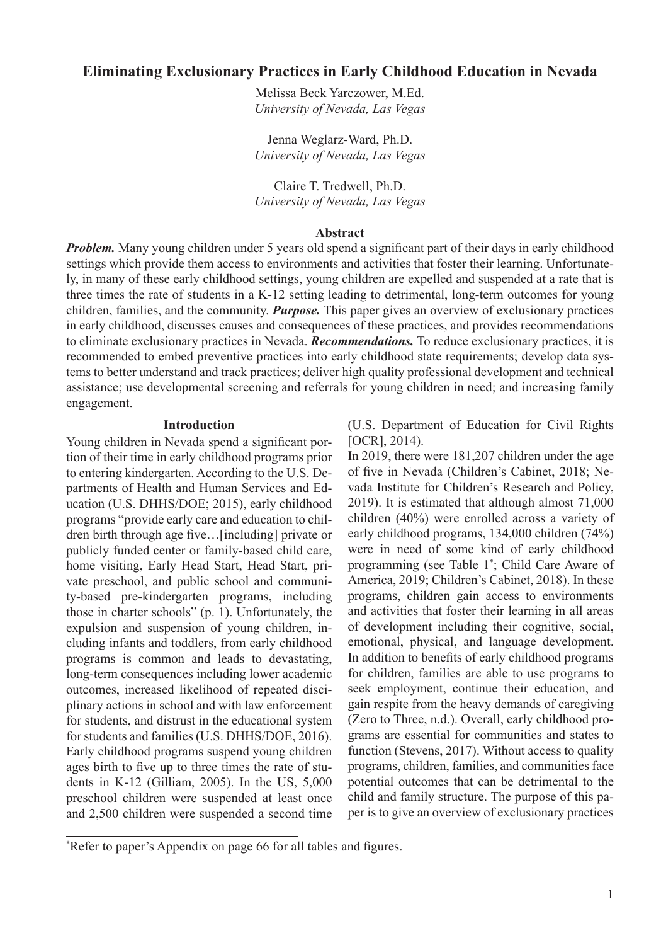# **Eliminating Exclusionary Practices in Early Childhood Education in Nevada**

Melissa Beck Yarczower, M.Ed. *University of Nevada, Las Vegas*

Jenna Weglarz-Ward, Ph.D. *University of Nevada, Las Vegas*

Claire T. Tredwell, Ph.D. *University of Nevada, Las Vegas*

#### **Abstract**

*Problem.* Many young children under 5 years old spend a significant part of their days in early childhood settings which provide them access to environments and activities that foster their learning. Unfortunately, in many of these early childhood settings, young children are expelled and suspended at a rate that is three times the rate of students in a K-12 setting leading to detrimental, long-term outcomes for young children, families, and the community. *Purpose.* This paper gives an overview of exclusionary practices in early childhood, discusses causes and consequences of these practices, and provides recommendations to eliminate exclusionary practices in Nevada. *Recommendations.* To reduce exclusionary practices, it is recommended to embed preventive practices into early childhood state requirements; develop data systems to better understand and track practices; deliver high quality professional development and technical assistance; use developmental screening and referrals for young children in need; and increasing family engagement.

#### **Introduction**

Young children in Nevada spend a significant portion of their time in early childhood programs prior to entering kindergarten. According to the U.S. Departments of Health and Human Services and Education (U.S. DHHS/DOE; 2015), early childhood programs "provide early care and education to children birth through age five…[including] private or publicly funded center or family-based child care, home visiting, Early Head Start, Head Start, private preschool, and public school and community-based pre-kindergarten programs, including those in charter schools" (p. 1). Unfortunately, the expulsion and suspension of young children, including infants and toddlers, from early childhood programs is common and leads to devastating, long-term consequences including lower academic outcomes, increased likelihood of repeated disciplinary actions in school and with law enforcement for students, and distrust in the educational system for students and families (U.S. DHHS/DOE, 2016). Early childhood programs suspend young children ages birth to five up to three times the rate of students in K-12 (Gilliam, 2005). In the US, 5,000 preschool children were suspended at least once and 2,500 children were suspended a second time

(U.S. Department of Education for Civil Rights [OCR], 2014).

In 2019, there were 181,207 children under the age of five in Nevada (Children's Cabinet, 2018; Nevada Institute for Children's Research and Policy, 2019). It is estimated that although almost 71,000 children (40%) were enrolled across a variety of early childhood programs, 134,000 children (74%) were in need of some kind of early childhood programming (see Table 1\* ; Child Care Aware of America, 2019; Children's Cabinet, 2018). In these programs, children gain access to environments and activities that foster their learning in all areas of development including their cognitive, social, emotional, physical, and language development. In addition to benefits of early childhood programs for children, families are able to use programs to seek employment, continue their education, and gain respite from the heavy demands of caregiving (Zero to Three, n.d.). Overall, early childhood programs are essential for communities and states to function (Stevens, 2017). Without access to quality programs, children, families, and communities face potential outcomes that can be detrimental to the child and family structure. The purpose of this paper is to give an overview of exclusionary practices

<sup>\*</sup> Refer to paper's Appendix on page 66 for all tables and figures.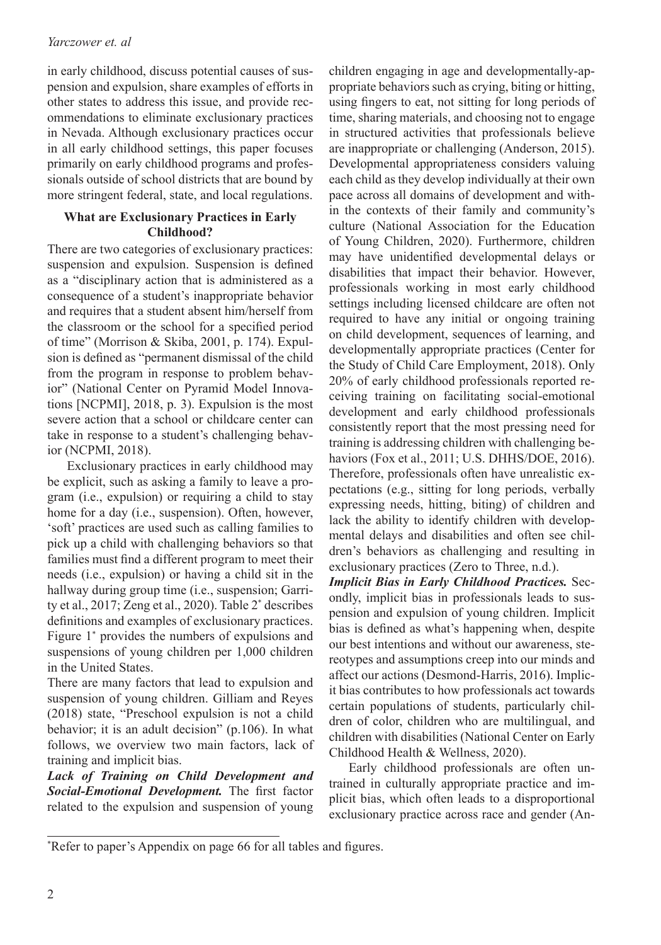# *Yarczower et. al*

in early childhood, discuss potential causes of suspension and expulsion, share examples of efforts in other states to address this issue, and provide recommendations to eliminate exclusionary practices in Nevada. Although exclusionary practices occur in all early childhood settings, this paper focuses primarily on early childhood programs and professionals outside of school districts that are bound by more stringent federal, state, and local regulations.

#### **What are Exclusionary Practices in Early Childhood?**

There are two categories of exclusionary practices: suspension and expulsion. Suspension is defined as a "disciplinary action that is administered as a consequence of a student's inappropriate behavior and requires that a student absent him/herself from the classroom or the school for a specified period of time" (Morrison & Skiba, 2001, p. 174). Expulsion is defined as "permanent dismissal of the child from the program in response to problem behavior" (National Center on Pyramid Model Innovations [NCPMI], 2018, p. 3). Expulsion is the most severe action that a school or childcare center can take in response to a student's challenging behavior (NCPMI, 2018).

Exclusionary practices in early childhood may be explicit, such as asking a family to leave a program (i.e., expulsion) or requiring a child to stay home for a day (i.e., suspension). Often, however, 'soft' practices are used such as calling families to pick up a child with challenging behaviors so that families must find a different program to meet their needs (i.e., expulsion) or having a child sit in the hallway during group time (i.e., suspension; Garrity et al., 2017; Zeng et al., 2020). Table 2\* describes definitions and examples of exclusionary practices. Figure 1\* provides the numbers of expulsions and suspensions of young children per 1,000 children in the United States.

There are many factors that lead to expulsion and suspension of young children. Gilliam and Reyes (2018) state, "Preschool expulsion is not a child behavior; it is an adult decision" (p.106). In what follows, we overview two main factors, lack of training and implicit bias.

*Lack of Training on Child Development and Social-Emotional Development.* The first factor related to the expulsion and suspension of young children engaging in age and developmentally-appropriate behaviors such as crying, biting or hitting, using fingers to eat, not sitting for long periods of time, sharing materials, and choosing not to engage in structured activities that professionals believe are inappropriate or challenging (Anderson, 2015). Developmental appropriateness considers valuing each child as they develop individually at their own pace across all domains of development and within the contexts of their family and community's culture (National Association for the Education of Young Children, 2020). Furthermore, children may have unidentified developmental delays or disabilities that impact their behavior. However, professionals working in most early childhood settings including licensed childcare are often not required to have any initial or ongoing training on child development, sequences of learning, and developmentally appropriate practices (Center for the Study of Child Care Employment, 2018). Only 20% of early childhood professionals reported receiving training on facilitating social-emotional development and early childhood professionals consistently report that the most pressing need for training is addressing children with challenging behaviors (Fox et al., 2011; U.S. DHHS/DOE, 2016). Therefore, professionals often have unrealistic expectations (e.g., sitting for long periods, verbally expressing needs, hitting, biting) of children and lack the ability to identify children with developmental delays and disabilities and often see children's behaviors as challenging and resulting in exclusionary practices (Zero to Three, n.d.).

*Implicit Bias in Early Childhood Practices.* Secondly, implicit bias in professionals leads to suspension and expulsion of young children. Implicit bias is defined as what's happening when, despite our best intentions and without our awareness, stereotypes and assumptions creep into our minds and affect our actions (Desmond-Harris, 2016). Implicit bias contributes to how professionals act towards certain populations of students, particularly children of color, children who are multilingual, and children with disabilities (National Center on Early Childhood Health & Wellness, 2020).

Early childhood professionals are often untrained in culturally appropriate practice and implicit bias, which often leads to a disproportional exclusionary practice across race and gender (An-

<sup>\*</sup> Refer to paper's Appendix on page 66 for all tables and figures.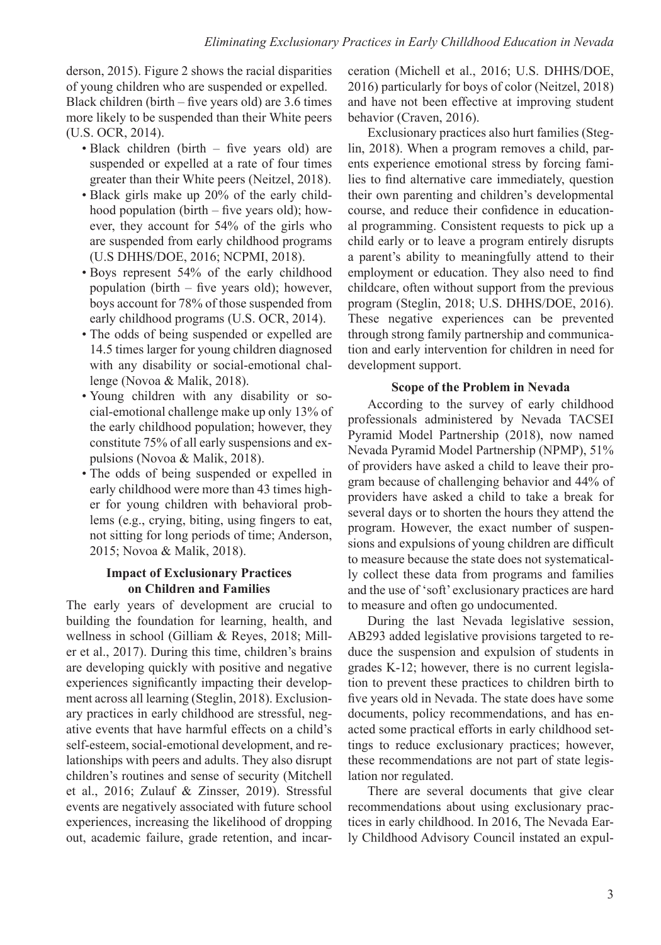derson, 2015). Figure 2 shows the racial disparities of young children who are suspended or expelled. Black children (birth – five years old) are  $3.6$  times more likely to be suspended than their White peers (U.S. OCR, 2014).

- Black children (birth five years old) are suspended or expelled at a rate of four times greater than their White peers (Neitzel, 2018).
- Black girls make up 20% of the early childhood population (birth – five years old); however, they account for 54% of the girls who are suspended from early childhood programs (U.S DHHS/DOE, 2016; NCPMI, 2018).
- Boys represent 54% of the early childhood population (birth – five years old); however, boys account for 78% of those suspended from early childhood programs (U.S. OCR, 2014).
- The odds of being suspended or expelled are 14.5 times larger for young children diagnosed with any disability or social-emotional challenge (Novoa & Malik, 2018).
- Young children with any disability or social-emotional challenge make up only 13% of the early childhood population; however, they constitute 75% of all early suspensions and expulsions (Novoa & Malik, 2018).
- The odds of being suspended or expelled in early childhood were more than 43 times higher for young children with behavioral problems (e.g., crying, biting, using fingers to eat, not sitting for long periods of time; Anderson, 2015; Novoa & Malik, 2018).

#### **Impact of Exclusionary Practices on Children and Families**

The early years of development are crucial to building the foundation for learning, health, and wellness in school (Gilliam & Reyes, 2018; Miller et al., 2017). During this time, children's brains are developing quickly with positive and negative experiences significantly impacting their development across all learning (Steglin, 2018). Exclusionary practices in early childhood are stressful, negative events that have harmful effects on a child's self-esteem, social-emotional development, and relationships with peers and adults. They also disrupt children's routines and sense of security (Mitchell et al., 2016; Zulauf & Zinsser, 2019). Stressful events are negatively associated with future school experiences, increasing the likelihood of dropping out, academic failure, grade retention, and incarceration (Michell et al., 2016; U.S. DHHS/DOE, 2016) particularly for boys of color (Neitzel, 2018) and have not been effective at improving student behavior (Craven, 2016).

Exclusionary practices also hurt families (Steglin, 2018). When a program removes a child, parents experience emotional stress by forcing families to find alternative care immediately, question their own parenting and children's developmental course, and reduce their confidence in educational programming. Consistent requests to pick up a child early or to leave a program entirely disrupts a parent's ability to meaningfully attend to their employment or education. They also need to find childcare, often without support from the previous program (Steglin, 2018; U.S. DHHS/DOE, 2016). These negative experiences can be prevented through strong family partnership and communication and early intervention for children in need for development support.

#### **Scope of the Problem in Nevada**

According to the survey of early childhood professionals administered by Nevada TACSEI Pyramid Model Partnership (2018), now named Nevada Pyramid Model Partnership (NPMP), 51% of providers have asked a child to leave their program because of challenging behavior and 44% of providers have asked a child to take a break for several days or to shorten the hours they attend the program. However, the exact number of suspensions and expulsions of young children are difficult to measure because the state does not systematically collect these data from programs and families and the use of 'soft' exclusionary practices are hard to measure and often go undocumented.

During the last Nevada legislative session, AB293 added legislative provisions targeted to reduce the suspension and expulsion of students in grades K-12; however, there is no current legislation to prevent these practices to children birth to five years old in Nevada. The state does have some documents, policy recommendations, and has enacted some practical efforts in early childhood settings to reduce exclusionary practices; however, these recommendations are not part of state legislation nor regulated.

There are several documents that give clear recommendations about using exclusionary practices in early childhood. In 2016, The Nevada Early Childhood Advisory Council instated an expul-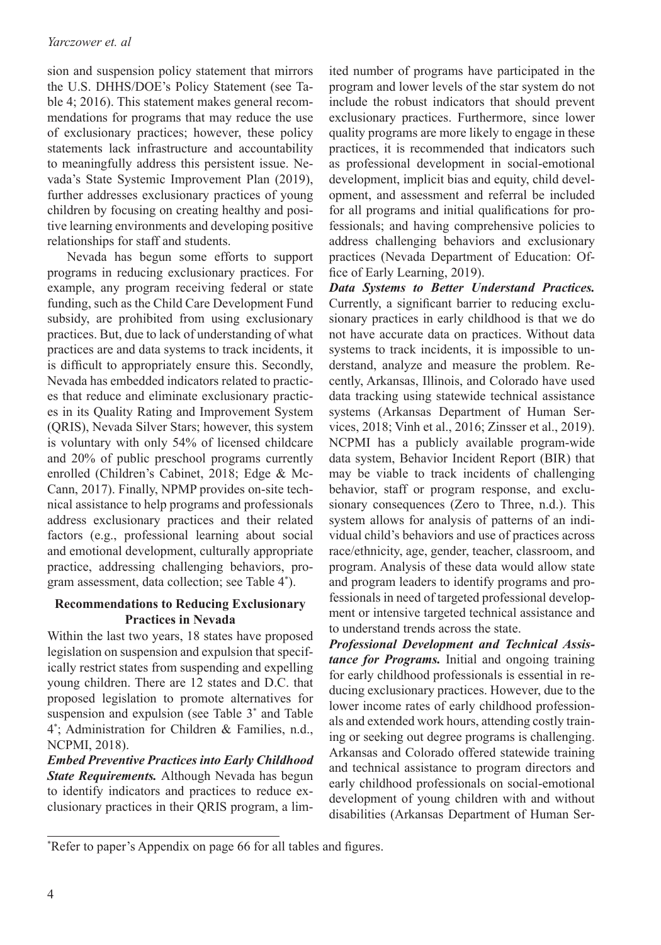#### *Yarczower et. al*

sion and suspension policy statement that mirrors the U.S. DHHS/DOE's Policy Statement (see Table 4; 2016). This statement makes general recommendations for programs that may reduce the use of exclusionary practices; however, these policy statements lack infrastructure and accountability to meaningfully address this persistent issue. Nevada's State Systemic Improvement Plan (2019), further addresses exclusionary practices of young children by focusing on creating healthy and positive learning environments and developing positive relationships for staff and students.

Nevada has begun some efforts to support programs in reducing exclusionary practices. For example, any program receiving federal or state funding, such as the Child Care Development Fund subsidy, are prohibited from using exclusionary practices. But, due to lack of understanding of what practices are and data systems to track incidents, it is difficult to appropriately ensure this. Secondly, Nevada has embedded indicators related to practices that reduce and eliminate exclusionary practices in its Quality Rating and Improvement System (QRIS), Nevada Silver Stars; however, this system is voluntary with only 54% of licensed childcare and 20% of public preschool programs currently enrolled (Children's Cabinet, 2018; Edge & Mc-Cann, 2017). Finally, NPMP provides on-site technical assistance to help programs and professionals address exclusionary practices and their related factors (e.g., professional learning about social and emotional development, culturally appropriate practice, addressing challenging behaviors, program assessment, data collection; see Table 4\* ).

# **Recommendations to Reducing Exclusionary Practices in Nevada**

Within the last two years, 18 states have proposed legislation on suspension and expulsion that specifically restrict states from suspending and expelling young children. There are 12 states and D.C. that proposed legislation to promote alternatives for suspension and expulsion (see Table 3\* and Table 4\* ; Administration for Children & Families, n.d., NCPMI, 2018).

*Embed Preventive Practices into Early Childhood State Requirements.* Although Nevada has begun to identify indicators and practices to reduce exclusionary practices in their QRIS program, a limited number of programs have participated in the program and lower levels of the star system do not include the robust indicators that should prevent exclusionary practices. Furthermore, since lower quality programs are more likely to engage in these practices, it is recommended that indicators such as professional development in social-emotional development, implicit bias and equity, child development, and assessment and referral be included for all programs and initial qualifications for professionals; and having comprehensive policies to address challenging behaviors and exclusionary practices (Nevada Department of Education: Office of Early Learning, 2019).

*Data Systems to Better Understand Practices.*  Currently, a significant barrier to reducing exclusionary practices in early childhood is that we do not have accurate data on practices. Without data systems to track incidents, it is impossible to understand, analyze and measure the problem. Recently, Arkansas, Illinois, and Colorado have used data tracking using statewide technical assistance systems (Arkansas Department of Human Services, 2018; Vinh et al., 2016; Zinsser et al., 2019). NCPMI has a publicly available program-wide data system, Behavior Incident Report (BIR) that may be viable to track incidents of challenging behavior, staff or program response, and exclusionary consequences (Zero to Three, n.d.). This system allows for analysis of patterns of an individual child's behaviors and use of practices across race/ethnicity, age, gender, teacher, classroom, and program. Analysis of these data would allow state and program leaders to identify programs and professionals in need of targeted professional development or intensive targeted technical assistance and to understand trends across the state.

*Professional Development and Technical Assistance for Programs.* Initial and ongoing training for early childhood professionals is essential in reducing exclusionary practices. However, due to the lower income rates of early childhood professionals and extended work hours, attending costly training or seeking out degree programs is challenging. Arkansas and Colorado offered statewide training and technical assistance to program directors and early childhood professionals on social-emotional development of young children with and without disabilities (Arkansas Department of Human Ser-

<sup>\*</sup> Refer to paper's Appendix on page 66 for all tables and figures.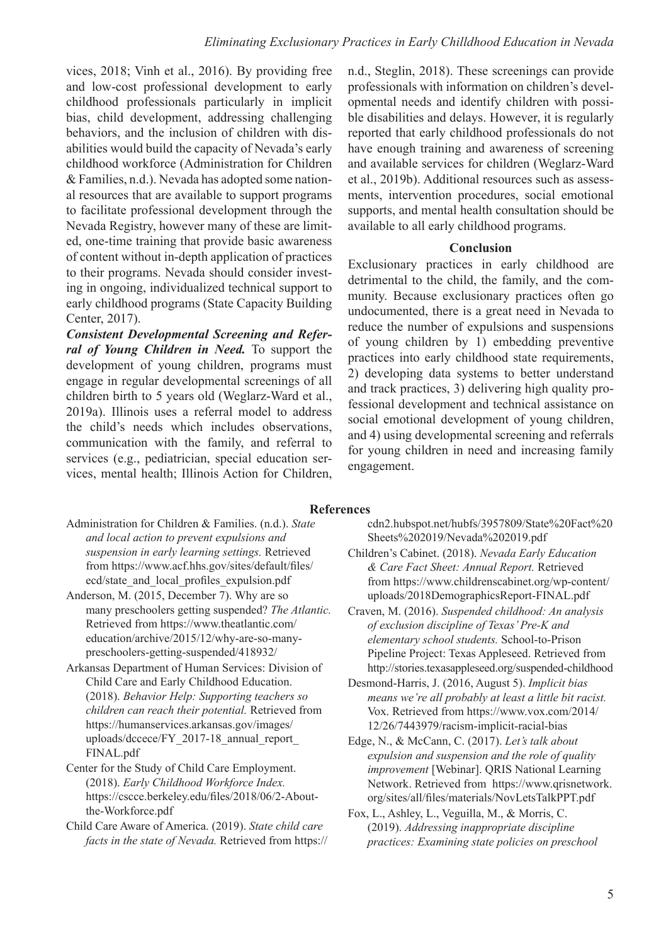vices, 2018; Vinh et al., 2016). By providing free and low-cost professional development to early childhood professionals particularly in implicit bias, child development, addressing challenging behaviors, and the inclusion of children with disabilities would build the capacity of Nevada's early childhood workforce (Administration for Children & Families, n.d.). Nevada has adopted some national resources that are available to support programs to facilitate professional development through the Nevada Registry, however many of these are limited, one-time training that provide basic awareness of content without in-depth application of practices to their programs. Nevada should consider investing in ongoing, individualized technical support to early childhood programs (State Capacity Building Center, 2017).

*Consistent Developmental Screening and Referral of Young Children in Need.* To support the development of young children, programs must engage in regular developmental screenings of all children birth to 5 years old (Weglarz-Ward et al., 2019a). Illinois uses a referral model to address the child's needs which includes observations, communication with the family, and referral to services (e.g., pediatrician, special education services, mental health; Illinois Action for Children,

n.d., Steglin, 2018). These screenings can provide professionals with information on children's developmental needs and identify children with possible disabilities and delays. However, it is regularly reported that early childhood professionals do not have enough training and awareness of screening and available services for children (Weglarz-Ward et al., 2019b). Additional resources such as assessments, intervention procedures, social emotional supports, and mental health consultation should be available to all early childhood programs.

#### **Conclusion**

Exclusionary practices in early childhood are detrimental to the child, the family, and the community. Because exclusionary practices often go undocumented, there is a great need in Nevada to reduce the number of expulsions and suspensions of young children by 1) embedding preventive practices into early childhood state requirements, 2) developing data systems to better understand and track practices, 3) delivering high quality professional development and technical assistance on social emotional development of young children, and 4) using developmental screening and referrals for young children in need and increasing family engagement.

#### **References**

- Administration for Children & Families. (n.d.). *State and local action to prevent expulsions and suspension in early learning settings.* Retrieved from https://www.acf.hhs.gov/sites/default/files/ ecd/state\_and\_local\_profiles\_expulsion.pdf
- Anderson, M. (2015, December 7). Why are so many preschoolers getting suspended? *The Atlantic.*  Retrieved from https://www.theatlantic.com/ education/archive/2015/12/why-are-so-manypreschoolers-getting-suspended/418932/
- Arkansas Department of Human Services: Division of Child Care and Early Childhood Education. (2018). *Behavior Help: Supporting teachers so children can reach their potential.* Retrieved from https://humanservices.arkansas.gov/images/ uploads/dccece/FY\_2017-18\_annual\_report\_ FINAL.pdf
- Center for the Study of Child Care Employment. (2018). *Early Childhood Workforce Index.* https://cscce.berkeley.edu/files/2018/06/2-Aboutthe-Workforce.pdf
- Child Care Aware of America. (2019). *State child care facts in the state of Nevada.* Retrieved from https://
- cdn2.hubspot.net/hubfs/3957809/State%20Fact%20 Sheets%202019/Nevada%202019.pdf
- Children's Cabinet. (2018). *Nevada Early Education & Care Fact Sheet: Annual Report.* Retrieved from https://www.childrenscabinet.org/wp-content/ uploads/2018DemographicsReport-FINAL.pdf
- Craven, M. (2016). *Suspended childhood: An analysis of exclusion discipline of Texas' Pre-K and elementary school students.* School-to-Prison Pipeline Project: Texas Appleseed. Retrieved from http://stories.texasappleseed.org/suspended-childhood
- Desmond-Harris, J. (2016, August 5). *Implicit bias means we're all probably at least a little bit racist.* Vox. Retrieved from https://www.vox.com/2014/ 12/26/7443979/racism-implicit-racial-bias
- Edge, N., & McCann, C. (2017). *Let's talk about expulsion and suspension and the role of quality improvement* [Webinar]. QRIS National Learning Network. Retrieved from https://www.qrisnetwork. org/sites/all/files/materials/NovLetsTalkPPT.pdf
- Fox, L., Ashley, L., Veguilla, M., & Morris, C. (2019). *Addressing inappropriate discipline practices: Examining state policies on preschool*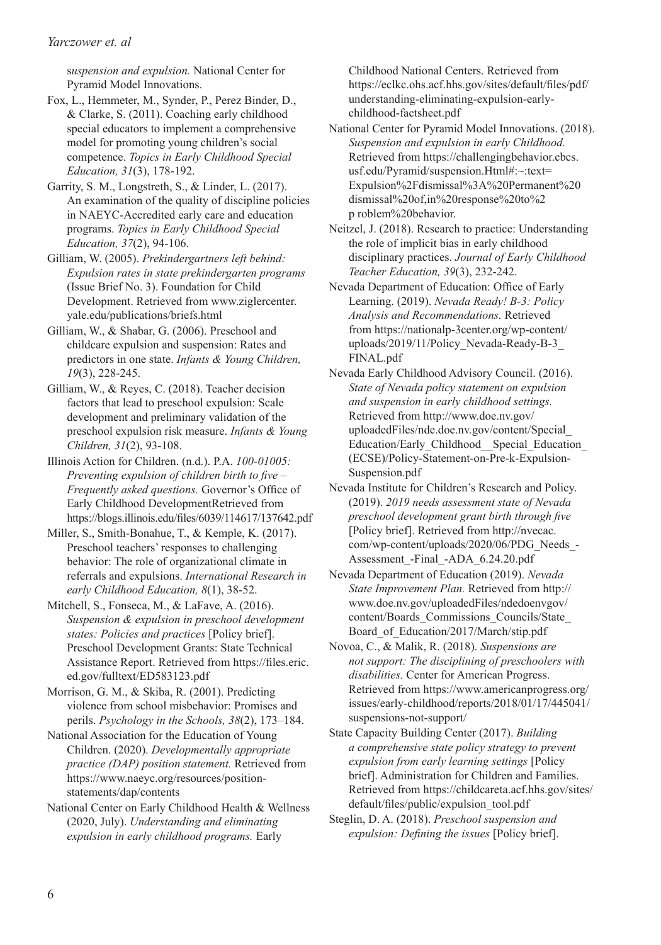s*uspension and expulsion.* National Center for Pyramid Model Innovations.

- Fox, L., Hemmeter, M., Synder, P., Perez Binder, D., & Clarke, S. (2011). Coaching early childhood special educators to implement a comprehensive model for promoting young children's social competence. *Topics in Early Childhood Special Education, 31*(3), 178-192.
- Garrity, S. M., Longstreth, S., & Linder, L. (2017). An examination of the quality of discipline policies in NAEYC-Accredited early care and education programs. *Topics in Early Childhood Special Education, 37*(2), 94-106.
- Gilliam, W. (2005). *Prekindergartners left behind: Expulsion rates in state prekindergarten programs* (Issue Brief No. 3). Foundation for Child Development. Retrieved from www.ziglercenter. yale.edu/publications/briefs.html
- Gilliam, W., & Shabar, G. (2006). Preschool and childcare expulsion and suspension: Rates and predictors in one state. *Infants & Young Children, 19*(3), 228-245.
- Gilliam, W., & Reyes, C. (2018). Teacher decision factors that lead to preschool expulsion: Scale development and preliminary validation of the preschool expulsion risk measure. *Infants & Young Children, 31*(2), 93-108.
- Illinois Action for Children. (n.d.). P.A. *100-01005: Preventing expulsion of children birth to five – Frequently asked questions.* Governor's Office of Early Childhood DevelopmentRetrieved from https://blogs.illinois.edu/files/6039/114617/137642.pdf
- Miller, S., Smith-Bonahue, T., & Kemple, K. (2017). Preschool teachers' responses to challenging behavior: The role of organizational climate in referrals and expulsions. *International Research in early Childhood Education, 8*(1), 38-52.
- Mitchell, S., Fonseca, M., & LaFave, A. (2016). *Suspension & expulsion in preschool development states: Policies and practices* [Policy brief]. Preschool Development Grants: State Technical Assistance Report. Retrieved from https://files.eric. ed.gov/fulltext/ED583123.pdf
- Morrison, G. M., & Skiba, R. (2001). Predicting violence from school misbehavior: Promises and perils. *Psychology in the Schools, 38*(2), 173–184.
- National Association for the Education of Young Children. (2020). *Developmentally appropriate practice (DAP) position statement.* Retrieved from https://www.naeyc.org/resources/positionstatements/dap/contents
- National Center on Early Childhood Health & Wellness (2020, July). *Understanding and eliminating expulsion in early childhood programs.* Early

Childhood National Centers. Retrieved from https://eclkc.ohs.acf.hhs.gov/sites/default/files/pdf/ understanding-eliminating-expulsion-earlychildhood-factsheet.pdf

- National Center for Pyramid Model Innovations. (2018). *Suspension and expulsion in early Childhood.* Retrieved from https://challengingbehavior.cbcs. usf.edu/Pyramid/suspension.Html#:~:text= Expulsion%2Fdismissal%3A%20Permanent%20 dismissal%20of,in%20response%20to%2 p roblem%20behavior.
- Neitzel, J. (2018). Research to practice: Understanding the role of implicit bias in early childhood disciplinary practices. *Journal of Early Childhood Teacher Education, 39*(3), 232-242.
- Nevada Department of Education: Office of Early Learning. (2019). *Nevada Ready! B-3: Policy Analysis and Recommendations.* Retrieved from https://nationalp-3center.org/wp-content/ uploads/2019/11/Policy\_Nevada-Ready-B-3\_ FINAL.pdf
- Nevada Early Childhood Advisory Council. (2016). *State of Nevada policy statement on expulsion and suspension in early childhood settings.* Retrieved from http://www.doe.nv.gov/ uploadedFiles/nde.doe.nv.gov/content/Special\_ Education/Early\_Childhood\_\_Special\_Education\_ (ECSE)/Policy-Statement-on-Pre-k-Expulsion-Suspension.pdf
- Nevada Institute for Children's Research and Policy. (2019). *2019 needs assessment state of Nevada preschool development grant birth through five* [Policy brief]. Retrieved from http://nvecac. com/wp-content/uploads/2020/06/PDG\_Needs\_- Assessment\_-Final\_-ADA\_6.24.20.pdf
- Nevada Department of Education (2019). *Nevada State Improvement Plan.* Retrieved from http:// www.doe.nv.gov/uploadedFiles/ndedoenvgov/ content/Boards\_Commissions\_Councils/State\_ Board\_of\_Education/2017/March/stip.pdf
- Novoa, C., & Malik, R. (2018). *Suspensions are not support: The disciplining of preschoolers with disabilities.* Center for American Progress. Retrieved from https://www.americanprogress.org/ issues/early-childhood/reports/2018/01/17/445041/ suspensions-not-support/
- State Capacity Building Center (2017). *Building a comprehensive state policy strategy to prevent expulsion from early learning settings* [Policy brief]. Administration for Children and Families. Retrieved from https://childcareta.acf.hhs.gov/sites/ default/files/public/expulsion\_tool.pdf
- Steglin, D. A. (2018). *Preschool suspension and expulsion: Defining the issues* [Policy brief].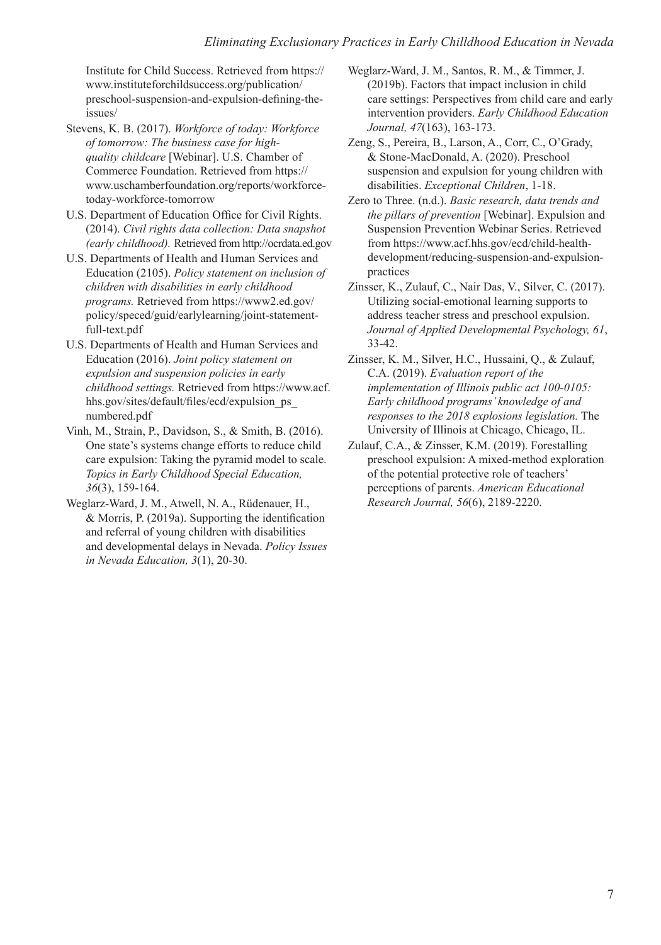Institute for Child Success. Retrieved from https:// www.instituteforchildsuccess.org/publication/ preschool-suspension-and-expulsion-defining-theissues/

- Stevens, K. B. (2017). *Workforce of today: Workforce of tomorrow: The business case for highquality childcare* [Webinar]. U.S. Chamber of Commerce Foundation. Retrieved from https:// www.uschamberfoundation.org/reports/workforcetoday-workforce-tomorrow
- U.S. Department of Education Office for Civil Rights. (2014). *Civil rights data collection: Data snapshot (early childhood).* Retrieved from http://ocrdata.ed.gov
- U.S. Departments of Health and Human Services and Education (2105). *Policy statement on inclusion of children with disabilities in early childhood programs.* Retrieved from https://www2.ed.gov/ policy/speced/guid/earlylearning/joint-statementfull-text.pdf
- U.S. Departments of Health and Human Services and Education (2016). *Joint policy statement on expulsion and suspension policies in early childhood settings.* Retrieved from https://www.acf. hhs.gov/sites/default/files/ecd/expulsion\_ps\_ numbered.pdf
- Vinh, M., Strain, P., Davidson, S., & Smith, B. (2016). One state's systems change efforts to reduce child care expulsion: Taking the pyramid model to scale. *Topics in Early Childhood Special Education, 36*(3), 159-164.
- Weglarz-Ward, J. M., Atwell, N. A., Rüdenauer, H., & Morris, P. (2019a). Supporting the identification and referral of young children with disabilities and developmental delays in Nevada. *Policy Issues in Nevada Education, 3*(1), 20-30.
- Weglarz-Ward, J. M., Santos, R. M., & Timmer, J. (2019b). Factors that impact inclusion in child care settings: Perspectives from child care and early intervention providers. *Early Childhood Education Journal, 47*(163), 163-173.
- Zeng, S., Pereira, B., Larson, A., Corr, C., O'Grady, & Stone-MacDonald, A. (2020). Preschool suspension and expulsion for young children with disabilities. *Exceptional Children*, 1-18.
- Zero to Three. (n.d.). *Basic research, data trends and the pillars of prevention* [Webinar]. Expulsion and Suspension Prevention Webinar Series. Retrieved from https://www.acf.hhs.gov/ecd/child-healthdevelopment/reducing-suspension-and-expulsionpractices
- Zinsser, K., Zulauf, C., Nair Das, V., Silver, C. (2017). Utilizing social-emotional learning supports to address teacher stress and preschool expulsion. *Journal of Applied Developmental Psychology, 61*, 33-42.
- Zinsser, K. M., Silver, H.C., Hussaini, Q., & Zulauf, C.A. (2019). *Evaluation report of the implementation of Illinois public act 100-0105: Early childhood programs' knowledge of and responses to the 2018 explosions legislation.* The University of Illinois at Chicago, Chicago, IL.
- Zulauf, C.A., & Zinsser, K.M. (2019). Forestalling preschool expulsion: A mixed-method exploration of the potential protective role of teachers' perceptions of parents. *American Educational Research Journal, 56*(6), 2189-2220.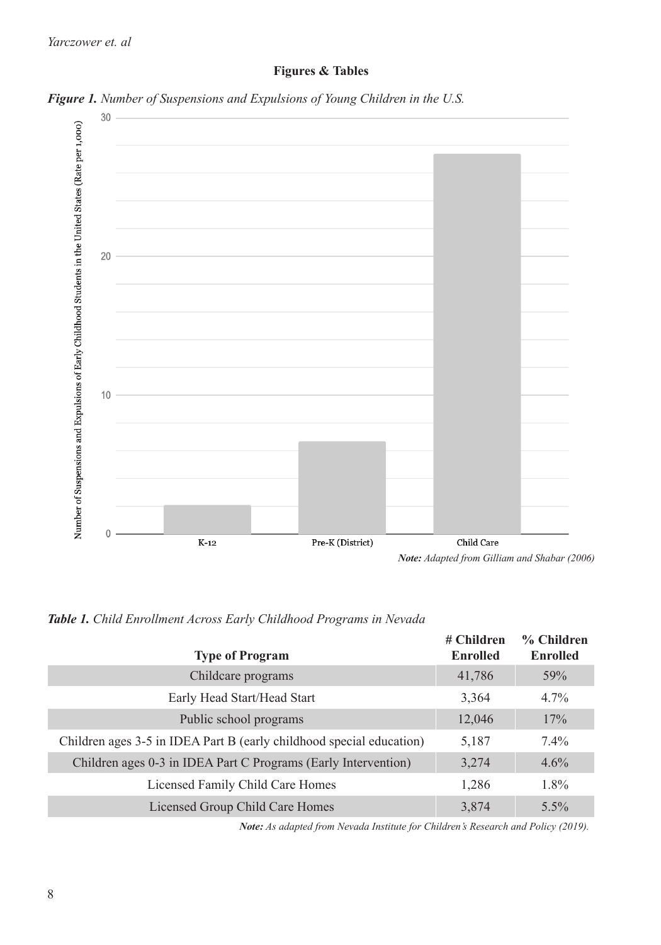# **Figures & Tables**





*Table 1. Child Enrollment Across Early Childhood Programs in Nevada*

| <b>Type of Program</b>                                               | # Children<br><b>Enrolled</b> | % Children<br><b>Enrolled</b> |
|----------------------------------------------------------------------|-------------------------------|-------------------------------|
| Childcare programs                                                   | 41,786                        | 59%                           |
| Early Head Start/Head Start                                          | 3,364                         | $4.7\%$                       |
| Public school programs                                               | 12,046                        | 17%                           |
| Children ages 3-5 in IDEA Part B (early childhood special education) | 5,187                         | $7.4\%$                       |
| Children ages 0-3 in IDEA Part C Programs (Early Intervention)       | 3,274                         | 4.6%                          |
| Licensed Family Child Care Homes                                     | 1,286                         | 1.8%                          |
| Licensed Group Child Care Homes                                      | 3,874                         | 5.5%                          |

*Note: As adapted from Nevada Institute for Children's Research and Policy (2019).*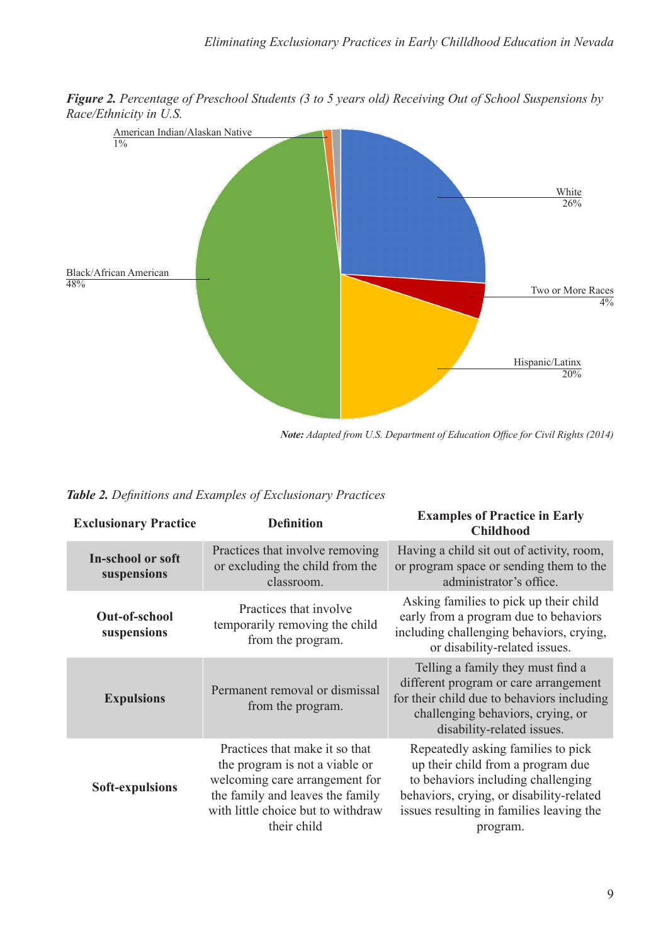*Figure 2. Percentage of Preschool Students (3 to 5 years old) Receiving Out of School Suspensions by Race/Ethnicity in U.S.*



*Note: Adapted from U.S. Department of Education Office for Civil Rights (2014)*

| Table 2. Definitions and Examples of Exclusionary Practices |  |  |  |
|-------------------------------------------------------------|--|--|--|
|-------------------------------------------------------------|--|--|--|

| <b>Exclusionary Practice</b>     | <b>Definition</b>                                                                                                                                                                           | <b>Examples of Practice in Early</b><br><b>Childhood</b>                                                                                                                                                          |
|----------------------------------|---------------------------------------------------------------------------------------------------------------------------------------------------------------------------------------------|-------------------------------------------------------------------------------------------------------------------------------------------------------------------------------------------------------------------|
| In-school or soft<br>suspensions | Practices that involve removing<br>or excluding the child from the<br>classroom.                                                                                                            | Having a child sit out of activity, room,<br>or program space or sending them to the<br>administrator's office.                                                                                                   |
| Out-of-school<br>suspensions     | Practices that involve<br>temporarily removing the child<br>from the program.                                                                                                               | Asking families to pick up their child<br>early from a program due to behaviors<br>including challenging behaviors, crying,<br>or disability-related issues.                                                      |
| <b>Expulsions</b>                | Permanent removal or dismissal<br>from the program.                                                                                                                                         | Telling a family they must find a<br>different program or care arrangement<br>for their child due to behaviors including<br>challenging behaviors, crying, or<br>disability-related issues.                       |
| Soft-expulsions                  | Practices that make it so that<br>the program is not a viable or<br>welcoming care arrangement for<br>the family and leaves the family<br>with little choice but to withdraw<br>their child | Repeatedly asking families to pick<br>up their child from a program due<br>to behaviors including challenging<br>behaviors, crying, or disability-related<br>issues resulting in families leaving the<br>program. |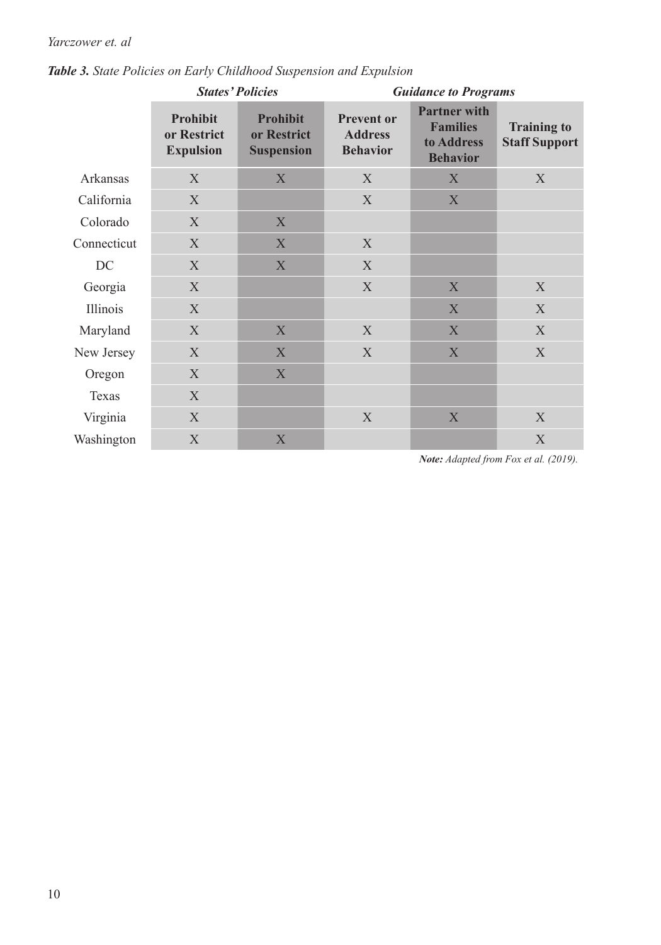# *Yarczower et. al*

|             | <b>States' Policies</b>                            |                                                     | <b>Guidance to Programs</b>                            |                                                                         |                                            |  |
|-------------|----------------------------------------------------|-----------------------------------------------------|--------------------------------------------------------|-------------------------------------------------------------------------|--------------------------------------------|--|
|             | <b>Prohibit</b><br>or Restrict<br><b>Expulsion</b> | <b>Prohibit</b><br>or Restrict<br><b>Suspension</b> | <b>Prevent or</b><br><b>Address</b><br><b>Behavior</b> | <b>Partner with</b><br><b>Families</b><br>to Address<br><b>Behavior</b> | <b>Training to</b><br><b>Staff Support</b> |  |
| Arkansas    | X                                                  | X                                                   | X                                                      | X                                                                       | X                                          |  |
| California  | X                                                  |                                                     | X                                                      | X                                                                       |                                            |  |
| Colorado    | X                                                  | X                                                   |                                                        |                                                                         |                                            |  |
| Connecticut | X                                                  | X                                                   | X                                                      |                                                                         |                                            |  |
| DC          | X                                                  | X                                                   | X                                                      |                                                                         |                                            |  |
| Georgia     | X                                                  |                                                     | X                                                      | X                                                                       | X                                          |  |
| Illinois    | X                                                  |                                                     |                                                        | X                                                                       | X                                          |  |
| Maryland    | X                                                  | X                                                   | X                                                      | X                                                                       | X                                          |  |
| New Jersey  | X                                                  | X                                                   | X                                                      | $\mathbf X$                                                             | X                                          |  |
| Oregon      | X                                                  | X                                                   |                                                        |                                                                         |                                            |  |
| Texas       | X                                                  |                                                     |                                                        |                                                                         |                                            |  |
| Virginia    | X                                                  |                                                     | X                                                      | X                                                                       | X                                          |  |
| Washington  | X                                                  | X                                                   |                                                        |                                                                         | X                                          |  |

*Table 3. State Policies on Early Childhood Suspension and Expulsion*

*Note: Adapted from Fox et al. (2019).*